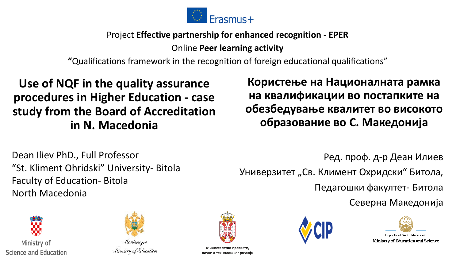

#### Project **Effective partnership for enhanced recognition - EPER**

Online **Peer learning activity** 

**"**Qualifications framework in the recognition of foreign educational qualifications"

#### **Use of NQF in the quality assurance procedures in Higher Education - case study from the Board of Accreditation in N. Macedonia**

**Користење на Националната рамка на квалификации во постапките на обезбедување квалитет во високото образование во С. Македонија**

Dean Iliev PhD., Full Professor "St. Kliment Ohridski" University- Bitola Faculty of Education- Bitola North Macedonia

Ред. проф. д-р Деан Илиев Универзитет "Св. Климент Охридски" Битола, Педагошки факултет- Битола Северна Македонија





Ministry of Education

Министарство просвете, науке и технолошког развоја



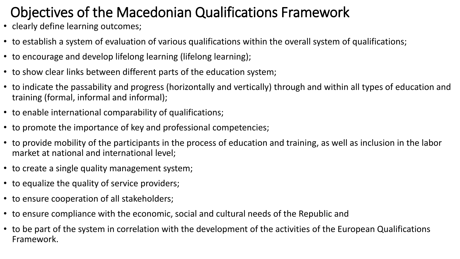### Objectives of the Macedonian Qualifications Framework

- clearly define learning outcomes;
- to establish a system of evaluation of various qualifications within the overall system of qualifications;
- to encourage and develop lifelong learning (lifelong learning);
- to show clear links between different parts of the education system;
- to indicate the passability and progress (horizontally and vertically) through and within all types of education and training (formal, informal and informal);
- to enable international comparability of qualifications;
- to promote the importance of key and professional competencies;
- to provide mobility of the participants in the process of education and training, as well as inclusion in the labor market at national and international level;
- to create a single quality management system;
- to equalize the quality of service providers;
- to ensure cooperation of all stakeholders;
- to ensure compliance with the economic, social and cultural needs of the Republic and
- to be part of the system in correlation with the development of the activities of the European Qualifications Framework.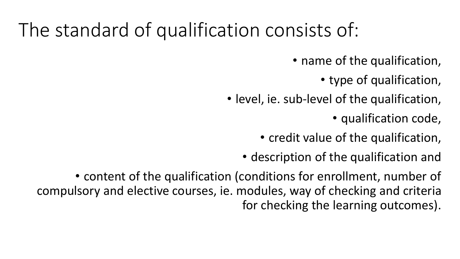## The standard of qualification consists of:

• name of the qualification,

• type of qualification,

• level, ie. sub-level of the qualification,

• qualification code,

• credit value of the qualification,

• description of the qualification and

• content of the qualification (conditions for enrollment, number of compulsory and elective courses, ie. modules, way of checking and criteria for checking the learning outcomes).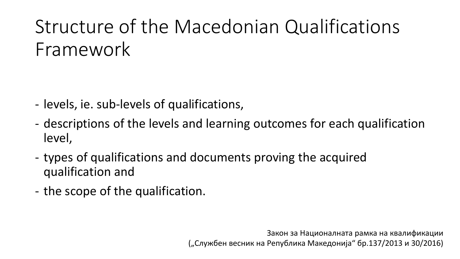# Structure of the Macedonian Qualifications Framework

- levels, ie. sub-levels of qualifications,
- descriptions of the levels and learning outcomes for each qualification level,
- types of qualifications and documents proving the acquired qualification and
- the scope of the qualification.

Закон за Националната рамка на квалификации ("Службен весник на Република Македонија" бр.137/2013 и 30/2016)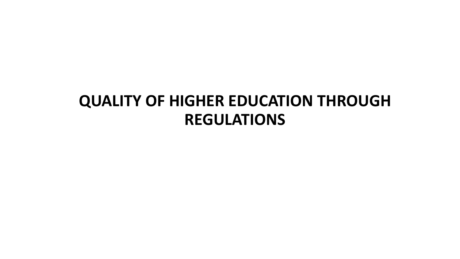### **QUALITY OF HIGHER EDUCATION THROUGH REGULATIONS**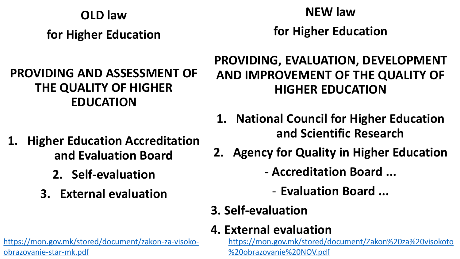#### **OLD law**

**for Higher Education**

#### **PROVIDING AND ASSESSMENT OF THE QUALITY OF HIGHER EDUCATION**

## **NEW law**

**for Higher Education**

### **PROVIDING, EVALUATION, DEVELOPMENT AND IMPROVEMENT OF THE QUALITY OF HIGHER EDUCATION**

- **1. National Council for Higher Education and Scientific Research**
- **2. Agency for Quality in Higher Education**
	- **- Accreditation Board ...**
		- **Evaluation Board ...**
	- **3. Self-evaluation**

### **4. External evaluation**

[https://mon.gov.mk/stored/document/Zakon%20za%20visokoto](https://mon.gov.mk/stored/document/Zakon%20za%20visokoto%20obrazovanie%20NOV.pdf) %20obrazovanie%20NOV.pdf

- **1. Higher Education Accreditation and Evaluation Board**
	- **2. Self-evaluation**
	- **3. External evaluation**

[https://mon.gov.mk/stored/document/zakon-za-visoko](https://mon.gov.mk/stored/document/zakon-za-visoko-obrazovanie-star-mk.pdf)obrazovanie-star-mk.pdf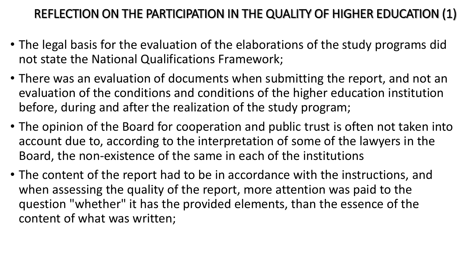#### REFLECTION ON THE PARTICIPATION IN THE QUALITY OF HIGHER EDUCATION (1)

- The legal basis for the evaluation of the elaborations of the study programs did not state the National Qualifications Framework;
- There was an evaluation of documents when submitting the report, and not an evaluation of the conditions and conditions of the higher education institution before, during and after the realization of the study program;
- The opinion of the Board for cooperation and public trust is often not taken into account due to, according to the interpretation of some of the lawyers in the Board, the non-existence of the same in each of the institutions
- The content of the report had to be in accordance with the instructions, and when assessing the quality of the report, more attention was paid to the question "whether" it has the provided elements, than the essence of the content of what was written;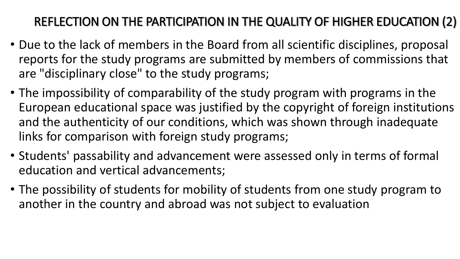### REFLECTION ON THE PARTICIPATION IN THE QUALITY OF HIGHER EDUCATION (2)

- Due to the lack of members in the Board from all scientific disciplines, proposal reports for the study programs are submitted by members of commissions that are "disciplinary close" to the study programs;
- The impossibility of comparability of the study program with programs in the European educational space was justified by the copyright of foreign institutions and the authenticity of our conditions, which was shown through inadequate links for comparison with foreign study programs;
- Students' passability and advancement were assessed only in terms of formal education and vertical advancements;
- The possibility of students for mobility of students from one study program to another in the country and abroad was not subject to evaluation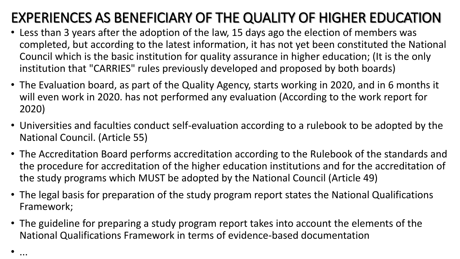### EXPERIENCES AS BENEFICIARY OF THE QUALITY OF HIGHER EDUCATION

- Less than 3 years after the adoption of the law, 15 days ago the election of members was completed, but according to the latest information, it has not yet been constituted the National Council which is the basic institution for quality assurance in higher education; (It is the only institution that "CARRIES" rules previously developed and proposed by both boards)
- The Evaluation board, as part of the Quality Agency, starts working in 2020, and in 6 months it will even work in 2020. has not performed any evaluation (According to the work report for 2020)
- Universities and faculties conduct self-evaluation according to a rulebook to be adopted by the National Council. (Article 55)
- The Accreditation Board performs accreditation according to the Rulebook of the standards and the procedure for accreditation of the higher education institutions and for the accreditation of the study programs which MUST be adopted by the National Council (Article 49)
- The legal basis for preparation of the study program report states the National Qualifications Framework;
- The guideline for preparing a study program report takes into account the elements of the National Qualifications Framework in terms of evidence-based documentation

• ...